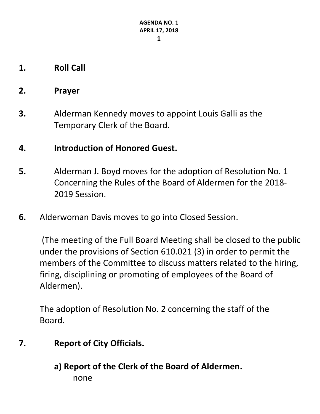- **1. Roll Call**
- **2. Prayer**
- **3.** Alderman Kennedy moves to appoint Louis Galli as the Temporary Clerk of the Board.

# **4. Introduction of Honored Guest.**

- **5.** Alderman J. Boyd moves for the adoption of Resolution No. 1 Concerning the Rules of the Board of Aldermen for the 2018- 2019 Session.
- **6.** Alderwoman Davis moves to go into Closed Session.

(The meeting of the Full Board Meeting shall be closed to the public under the provisions of Section 610.021 (3) in order to permit the members of the Committee to discuss matters related to the hiring, firing, disciplining or promoting of employees of the Board of Aldermen).

The adoption of Resolution No. 2 concerning the staff of the Board.

- **7. Report of City Officials.**
	- **a) Report of the Clerk of the Board of Aldermen.** none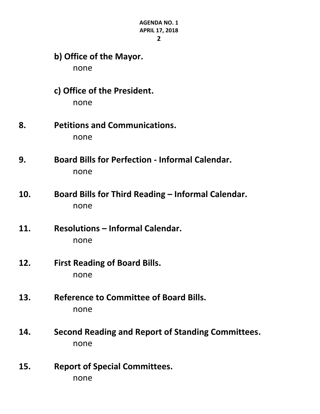- **b) Office of the Mayor.** none **c) Office of the President.** none **8. Petitions and Communications.** none **9. Board Bills for Perfection - Informal Calendar.** none **10. Board Bills for Third Reading – Informal Calendar.** none **11. Resolutions – Informal Calendar.** none **12. First Reading of Board Bills.** none
- **13. Reference to Committee of Board Bills.** none
- **14. Second Reading and Report of Standing Committees.** none
- **15. Report of Special Committees.** none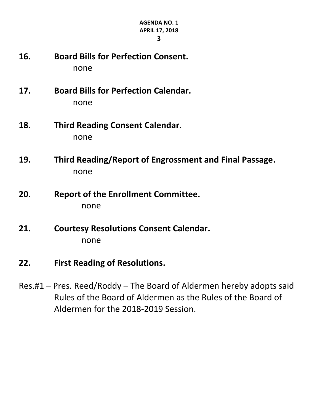- 
- **16. Board Bills for Perfection Consent.** none
- **17. Board Bills for Perfection Calendar.** none
- **18. Third Reading Consent Calendar.** none
- **19. Third Reading/Report of Engrossment and Final Passage.** none
- **20. Report of the Enrollment Committee.** none
- **21. Courtesy Resolutions Consent Calendar.** none
- **22. First Reading of Resolutions.**
- Res.#1 Pres. Reed/Roddy The Board of Aldermen hereby adopts said Rules of the Board of Aldermen as the Rules of the Board of Aldermen for the 2018-2019 Session.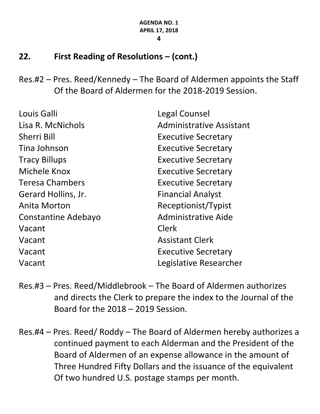# **22. First Reading of Resolutions – (cont.)**

Res.#2 – Pres. Reed/Kennedy – The Board of Aldermen appoints the Staff Of the Board of Aldermen for the 2018-2019 Session.

| Louis Galli            | Legal Counsel              |
|------------------------|----------------------------|
| Lisa R. McNichols      | Administrative Assistant   |
| <b>Sherri Bill</b>     | <b>Executive Secretary</b> |
| Tina Johnson           | <b>Executive Secretary</b> |
| <b>Tracy Billups</b>   | <b>Executive Secretary</b> |
| Michele Knox           | <b>Executive Secretary</b> |
| <b>Teresa Chambers</b> | <b>Executive Secretary</b> |
| Gerard Hollins, Jr.    | <b>Financial Analyst</b>   |
| Anita Morton           | Receptionist/Typist        |
| Constantine Adebayo    | <b>Administrative Aide</b> |
| Vacant                 | <b>Clerk</b>               |
| Vacant                 | <b>Assistant Clerk</b>     |
| Vacant                 | <b>Executive Secretary</b> |
| Vacant                 | Legislative Researcher     |

- Res.#3 Pres. Reed/Middlebrook The Board of Aldermen authorizes and directs the Clerk to prepare the index to the Journal of the Board for the 2018 – 2019 Session.
- Res.#4 Pres. Reed/ Roddy The Board of Aldermen hereby authorizes a continued payment to each Alderman and the President of the Board of Aldermen of an expense allowance in the amount of Three Hundred Fifty Dollars and the issuance of the equivalent Of two hundred U.S. postage stamps per month.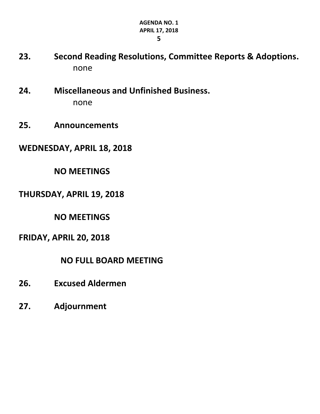**23. Second Reading Resolutions, Committee Reports & Adoptions.** none

- **24. Miscellaneous and Unfinished Business.** none
- **25. Announcements**
- **WEDNESDAY, APRIL 18, 2018**

# **NO MEETINGS**

### **THURSDAY, APRIL 19, 2018**

**NO MEETINGS**

### **FRIDAY, APRIL 20, 2018**

### **NO FULL BOARD MEETING**

- **26. Excused Aldermen**
- **27. Adjournment**